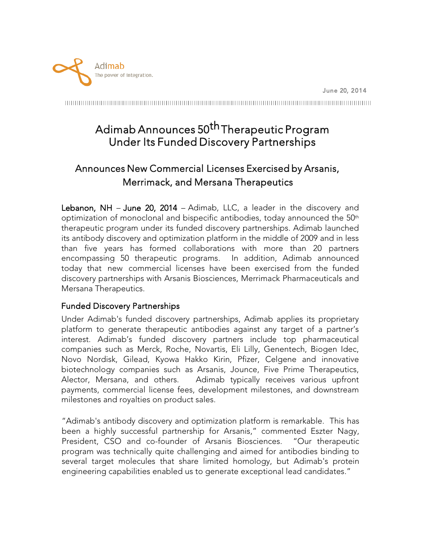

# Adimab Announces 50<sup>th</sup> Therapeutic Program Under Its Funded Discovery Partnerships

## Announces New Commercial Licenses Exercised by Arsanis, Merrimack, and Mersana Therapeutics

Lebanon, NH – June 20, 2014 – Adimab, LLC, a leader in the discovery and optimization of monoclonal and bispecific antibodies, today announced the  $50<sup>th</sup>$ therapeutic program under its funded discovery partnerships. Adimab launched its antibody discovery and optimization platform in the middle of 2009 and in less than five years has formed collaborations with more than 20 partners encompassing 50 therapeutic programs. In addition, Adimab announced today that new commercial licenses have been exercised from the funded discovery partnerships with Arsanis Biosciences, Merrimack Pharmaceuticals and Mersana Therapeutics.

#### Funded Discovery Partnerships

Under Adimab's funded discovery partnerships, Adimab applies its proprietary platform to generate therapeutic antibodies against any target of a partner's interest. Adimab's funded discovery partners include top pharmaceutical companies such as Merck, Roche, Novartis, Eli Lilly, Genentech, Biogen Idec, Novo Nordisk, Gilead, Kyowa Hakko Kirin, Pfizer, Celgene and innovative biotechnology companies such as Arsanis, Jounce, Five Prime Therapeutics, Alector, Mersana, and others. Adimab typically receives various upfront payments, commercial license fees, development milestones, and downstream milestones and royalties on product sales.

"Adimab's antibody discovery and optimization platform is remarkable. This has been a highly successful partnership for Arsanis," commented Eszter Nagy, President, CSO and co-founder of Arsanis Biosciences. "Our therapeutic program was technically quite challenging and aimed for antibodies binding to several target molecules that share limited homology, but Adimab's protein engineering capabilities enabled us to generate exceptional lead candidates."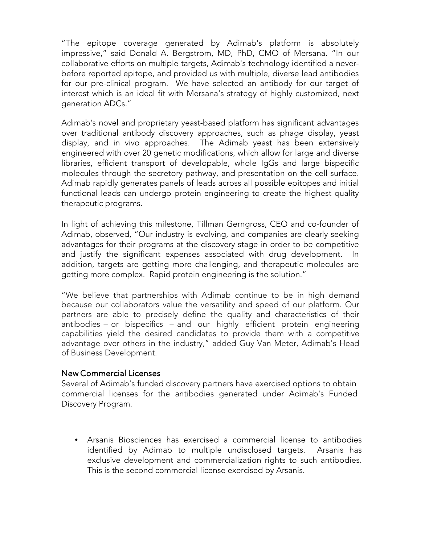"The epitope coverage generated by Adimab's platform is absolutely impressive," said Donald A. Bergstrom, MD, PhD, CMO of Mersana. "In our collaborative efforts on multiple targets, Adimab's technology identified a neverbefore reported epitope, and provided us with multiple, diverse lead antibodies for our pre-clinical program. We have selected an antibody for our target of interest which is an ideal fit with Mersana's strategy of highly customized, next generation ADCs."

Adimab's novel and proprietary yeast-based platform has significant advantages over traditional antibody discovery approaches, such as phage display, yeast display, and in vivo approaches. The Adimab yeast has been extensively engineered with over 20 genetic modifications, which allow for large and diverse libraries, efficient transport of developable, whole IgGs and large bispecific molecules through the secretory pathway, and presentation on the cell surface. Adimab rapidly generates panels of leads across all possible epitopes and initial functional leads can undergo protein engineering to create the highest quality therapeutic programs.

In light of achieving this milestone, Tillman Gerngross, CEO and co-founder of Adimab, observed, "Our industry is evolving, and companies are clearly seeking advantages for their programs at the discovery stage in order to be competitive and justify the significant expenses associated with drug development. In addition, targets are getting more challenging, and therapeutic molecules are getting more complex. Rapid protein engineering is the solution."

"We believe that partnerships with Adimab continue to be in high demand because our collaborators value the versatility and speed of our platform. Our partners are able to precisely define the quality and characteristics of their antibodies – or bispecifics – and our highly efficient protein engineering capabilities yield the desired candidates to provide them with a competitive advantage over others in the industry," added Guy Van Meter, Adimab's Head of Business Development.

#### New Commercial Licenses

Several of Adimab's funded discovery partners have exercised options to obtain commercial licenses for the antibodies generated under Adimab's Funded Discovery Program.

• Arsanis Biosciences has exercised a commercial license to antibodies identified by Adimab to multiple undisclosed targets. Arsanis has exclusive development and commercialization rights to such antibodies. This is the second commercial license exercised by Arsanis.